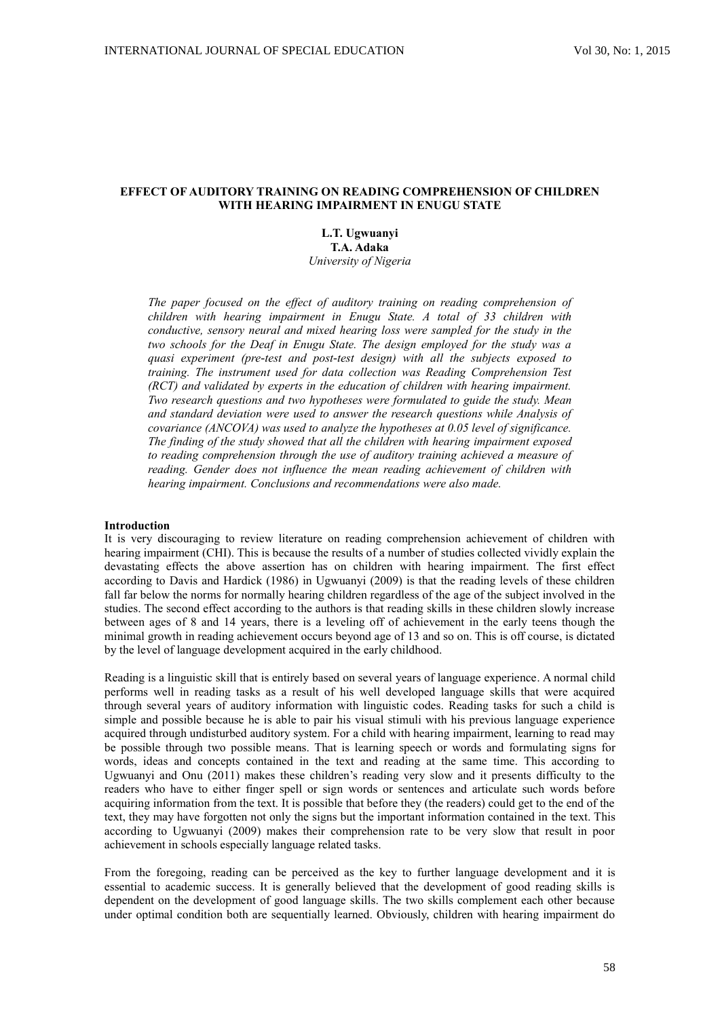## **EFFECT OF AUDITORY TRAINING ON READING COMPREHENSION OF CHILDREN WITH HEARING IMPAIRMENT IN ENUGU STATE**

**L.T. Ugwuanyi T.A. Adaka** *University of Nigeria*

*The paper focused on the effect of auditory training on reading comprehension of children with hearing impairment in Enugu State. A total of 33 children with conductive, sensory neural and mixed hearing loss were sampled for the study in the two schools for the Deaf in Enugu State. The design employed for the study was a quasi experiment (pre-test and post-test design) with all the subjects exposed to training. The instrument used for data collection was Reading Comprehension Test (RCT) and validated by experts in the education of children with hearing impairment. Two research questions and two hypotheses were formulated to guide the study. Mean and standard deviation were used to answer the research questions while Analysis of covariance (ANCOVA) was used to analyze the hypotheses at 0.05 level of significance. The finding of the study showed that all the children with hearing impairment exposed to reading comprehension through the use of auditory training achieved a measure of reading. Gender does not influence the mean reading achievement of children with hearing impairment. Conclusions and recommendations were also made.*

#### **Introduction**

It is very discouraging to review literature on reading comprehension achievement of children with hearing impairment (CHI). This is because the results of a number of studies collected vividly explain the devastating effects the above assertion has on children with hearing impairment. The first effect according to Davis and Hardick (1986) in Ugwuanyi (2009) is that the reading levels of these children fall far below the norms for normally hearing children regardless of the age of the subject involved in the studies. The second effect according to the authors is that reading skills in these children slowly increase between ages of 8 and 14 years, there is a leveling off of achievement in the early teens though the minimal growth in reading achievement occurs beyond age of 13 and so on. This is off course, is dictated by the level of language development acquired in the early childhood.

Reading is a linguistic skill that is entirely based on several years of language experience. A normal child performs well in reading tasks as a result of his well developed language skills that were acquired through several years of auditory information with linguistic codes. Reading tasks for such a child is simple and possible because he is able to pair his visual stimuli with his previous language experience acquired through undisturbed auditory system. For a child with hearing impairment, learning to read may be possible through two possible means. That is learning speech or words and formulating signs for words, ideas and concepts contained in the text and reading at the same time. This according to Ugwuanyi and Onu (2011) makes these children's reading very slow and it presents difficulty to the readers who have to either finger spell or sign words or sentences and articulate such words before acquiring information from the text. It is possible that before they (the readers) could get to the end of the text, they may have forgotten not only the signs but the important information contained in the text. This according to Ugwuanyi (2009) makes their comprehension rate to be very slow that result in poor achievement in schools especially language related tasks.

From the foregoing, reading can be perceived as the key to further language development and it is essential to academic success. It is generally believed that the development of good reading skills is dependent on the development of good language skills. The two skills complement each other because under optimal condition both are sequentially learned. Obviously, children with hearing impairment do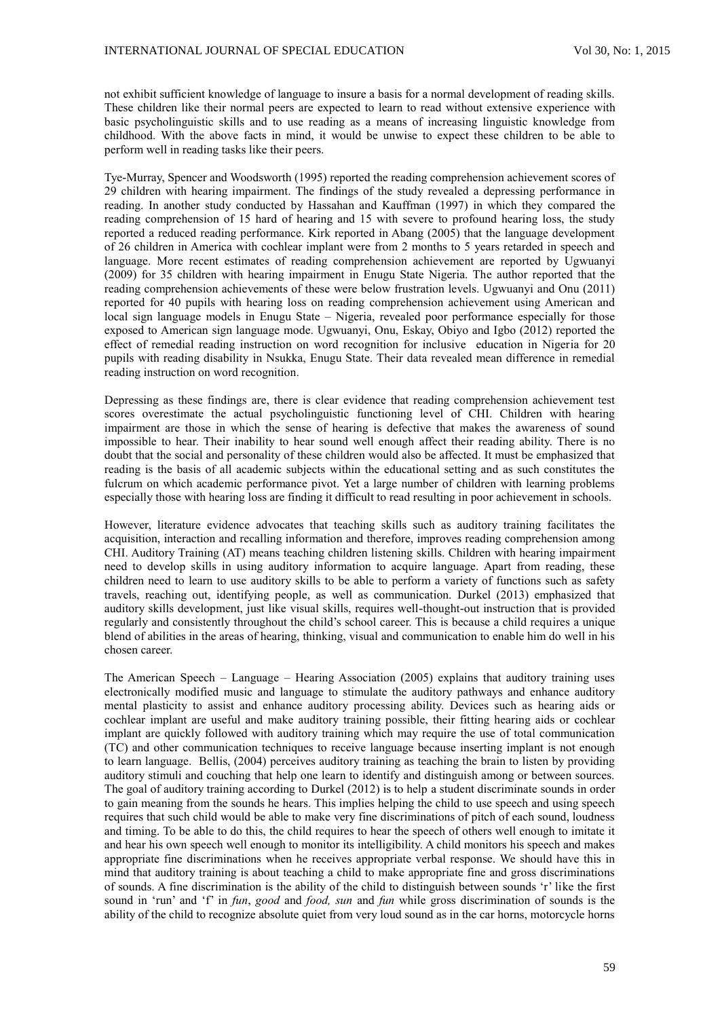not exhibit sufficient knowledge of language to insure a basis for a normal development of reading skills. These children like their normal peers are expected to learn to read without extensive experience with basic psycholinguistic skills and to use reading as a means of increasing linguistic knowledge from childhood. With the above facts in mind, it would be unwise to expect these children to be able to perform well in reading tasks like their peers.

Tye-Murray, Spencer and Woodsworth (1995) reported the reading comprehension achievement scores of 29 children with hearing impairment. The findings of the study revealed a depressing performance in reading. In another study conducted by Hassahan and Kauffman (1997) in which they compared the reading comprehension of 15 hard of hearing and 15 with severe to profound hearing loss, the study reported a reduced reading performance. Kirk reported in Abang (2005) that the language development of 26 children in America with cochlear implant were from 2 months to 5 years retarded in speech and language. More recent estimates of reading comprehension achievement are reported by Ugwuanyi (2009) for 35 children with hearing impairment in Enugu State Nigeria. The author reported that the reading comprehension achievements of these were below frustration levels. Ugwuanyi and Onu (2011) reported for 40 pupils with hearing loss on reading comprehension achievement using American and local sign language models in Enugu State – Nigeria, revealed poor performance especially for those exposed to American sign language mode. Ugwuanyi, Onu, Eskay, Obiyo and Igbo (2012) reported the effect of remedial reading instruction on word recognition for inclusive education in Nigeria for 20 pupils with reading disability in Nsukka, Enugu State. Their data revealed mean difference in remedial reading instruction on word recognition.

Depressing as these findings are, there is clear evidence that reading comprehension achievement test scores overestimate the actual psycholinguistic functioning level of CHI. Children with hearing impairment are those in which the sense of hearing is defective that makes the awareness of sound impossible to hear. Their inability to hear sound well enough affect their reading ability. There is no doubt that the social and personality of these children would also be affected. It must be emphasized that reading is the basis of all academic subjects within the educational setting and as such constitutes the fulcrum on which academic performance pivot. Yet a large number of children with learning problems especially those with hearing loss are finding it difficult to read resulting in poor achievement in schools.

However, literature evidence advocates that teaching skills such as auditory training facilitates the acquisition, interaction and recalling information and therefore, improves reading comprehension among CHI. Auditory Training (AT) means teaching children listening skills. Children with hearing impairment need to develop skills in using auditory information to acquire language. Apart from reading, these children need to learn to use auditory skills to be able to perform a variety of functions such as safety travels, reaching out, identifying people, as well as communication. Durkel (2013) emphasized that auditory skills development, just like visual skills, requires well-thought-out instruction that is provided regularly and consistently throughout the child's school career. This is because a child requires a unique blend of abilities in the areas of hearing, thinking, visual and communication to enable him do well in his chosen career.

The American Speech – Language – Hearing Association (2005) explains that auditory training uses electronically modified music and language to stimulate the auditory pathways and enhance auditory mental plasticity to assist and enhance auditory processing ability. Devices such as hearing aids or cochlear implant are useful and make auditory training possible, their fitting hearing aids or cochlear implant are quickly followed with auditory training which may require the use of total communication (TC) and other communication techniques to receive language because inserting implant is not enough to learn language. Bellis, (2004) perceives auditory training as teaching the brain to listen by providing auditory stimuli and couching that help one learn to identify and distinguish among or between sources. The goal of auditory training according to Durkel (2012) is to help a student discriminate sounds in order to gain meaning from the sounds he hears. This implies helping the child to use speech and using speech requires that such child would be able to make very fine discriminations of pitch of each sound, loudness and timing. To be able to do this, the child requires to hear the speech of others well enough to imitate it and hear his own speech well enough to monitor its intelligibility. A child monitors his speech and makes appropriate fine discriminations when he receives appropriate verbal response. We should have this in mind that auditory training is about teaching a child to make appropriate fine and gross discriminations of sounds. A fine discrimination is the ability of the child to distinguish between sounds 'r' like the first sound in 'run' and 'f' in *fun*, *good* and *food, sun* and *fun* while gross discrimination of sounds is the ability of the child to recognize absolute quiet from very loud sound as in the car horns, motorcycle horns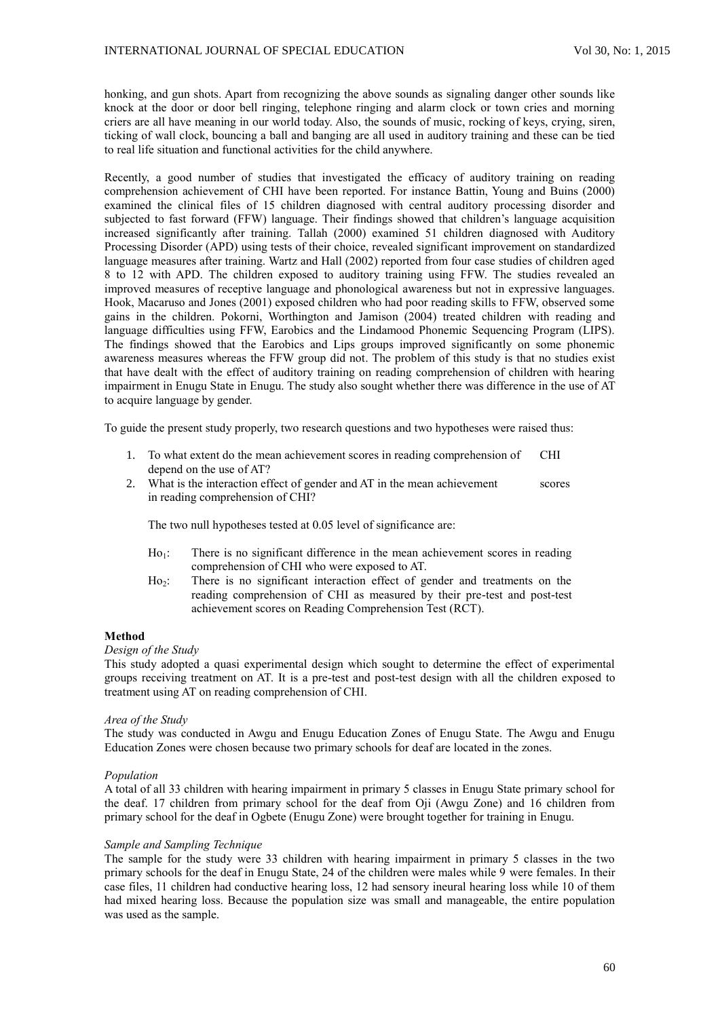honking, and gun shots. Apart from recognizing the above sounds as signaling danger other sounds like knock at the door or door bell ringing, telephone ringing and alarm clock or town cries and morning criers are all have meaning in our world today. Also, the sounds of music, rocking of keys, crying, siren, ticking of wall clock, bouncing a ball and banging are all used in auditory training and these can be tied to real life situation and functional activities for the child anywhere.

Recently, a good number of studies that investigated the efficacy of auditory training on reading comprehension achievement of CHI have been reported. For instance Battin, Young and Buins (2000) examined the clinical files of 15 children diagnosed with central auditory processing disorder and subjected to fast forward (FFW) language. Their findings showed that children's language acquisition increased significantly after training. Tallah (2000) examined 51 children diagnosed with Auditory Processing Disorder (APD) using tests of their choice, revealed significant improvement on standardized language measures after training. Wartz and Hall (2002) reported from four case studies of children aged 8 to 12 with APD. The children exposed to auditory training using FFW. The studies revealed an improved measures of receptive language and phonological awareness but not in expressive languages. Hook, Macaruso and Jones (2001) exposed children who had poor reading skills to FFW, observed some gains in the children. Pokorni, Worthington and Jamison (2004) treated children with reading and language difficulties using FFW, Earobics and the Lindamood Phonemic Sequencing Program (LIPS). The findings showed that the Earobics and Lips groups improved significantly on some phonemic awareness measures whereas the FFW group did not. The problem of this study is that no studies exist that have dealt with the effect of auditory training on reading comprehension of children with hearing impairment in Enugu State in Enugu. The study also sought whether there was difference in the use of AT to acquire language by gender.

To guide the present study properly, two research questions and two hypotheses were raised thus:

- 1. To what extent do the mean achievement scores in reading comprehension of CHI depend on the use of AT?
- 2. What is the interaction effect of gender and AT in the mean achievement scores in reading comprehension of CHI?

The two null hypotheses tested at 0.05 level of significance are:

- $Ho<sub>1</sub>$ : There is no significant difference in the mean achievement scores in reading comprehension of CHI who were exposed to AT.
- Ho2: There is no significant interaction effect of gender and treatments on the reading comprehension of CHI as measured by their pre-test and post-test achievement scores on Reading Comprehension Test (RCT).

#### **Method**

# *Design of the Study*

This study adopted a quasi experimental design which sought to determine the effect of experimental groups receiving treatment on AT. It is a pre-test and post-test design with all the children exposed to treatment using AT on reading comprehension of CHI.

#### *Area of the Study*

The study was conducted in Awgu and Enugu Education Zones of Enugu State. The Awgu and Enugu Education Zones were chosen because two primary schools for deaf are located in the zones.

#### *Population*

A total of all 33 children with hearing impairment in primary 5 classes in Enugu State primary school for the deaf. 17 children from primary school for the deaf from Oji (Awgu Zone) and 16 children from primary school for the deaf in Ogbete (Enugu Zone) were brought together for training in Enugu.

#### *Sample and Sampling Technique*

The sample for the study were 33 children with hearing impairment in primary 5 classes in the two primary schools for the deaf in Enugu State, 24 of the children were males while 9 were females. In their case files, 11 children had conductive hearing loss, 12 had sensory ineural hearing loss while 10 of them had mixed hearing loss. Because the population size was small and manageable, the entire population was used as the sample.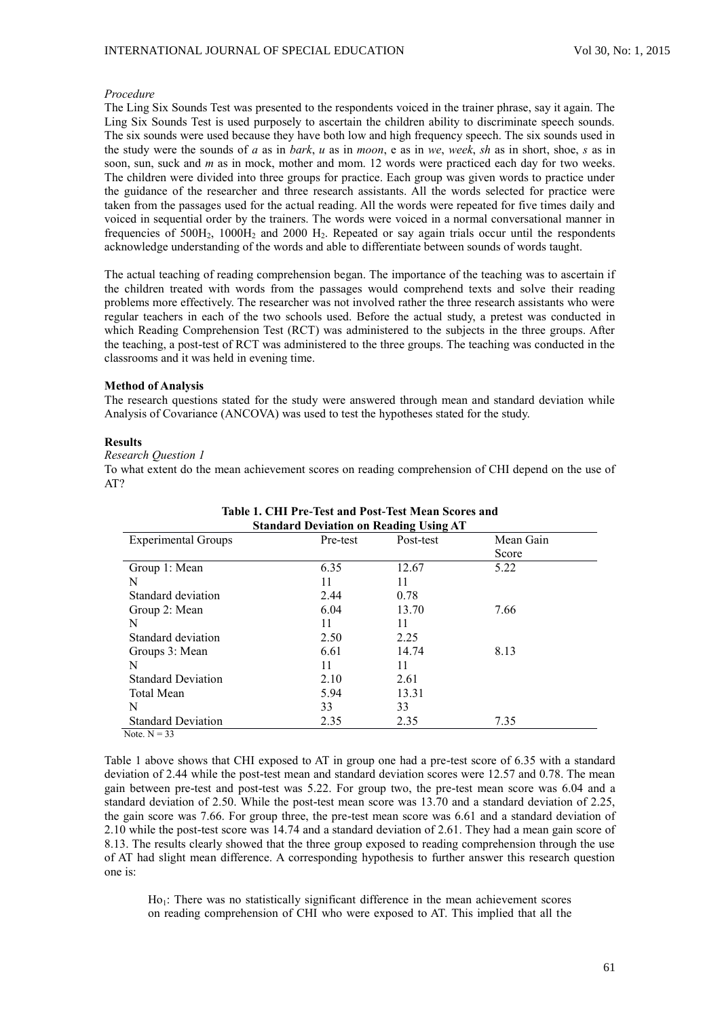#### *Procedure*

The Ling Six Sounds Test was presented to the respondents voiced in the trainer phrase, say it again. The Ling Six Sounds Test is used purposely to ascertain the children ability to discriminate speech sounds. The six sounds were used because they have both low and high frequency speech. The six sounds used in the study were the sounds of *a* as in *bark*, *u* as in *moon*, e as in *we*, *week*, *sh* as in short, shoe, *s* as in soon, sun, suck and *m* as in mock, mother and mom. 12 words were practiced each day for two weeks. The children were divided into three groups for practice. Each group was given words to practice under the guidance of the researcher and three research assistants. All the words selected for practice were taken from the passages used for the actual reading. All the words were repeated for five times daily and voiced in sequential order by the trainers. The words were voiced in a normal conversational manner in frequencies of  $500H_2$ ,  $1000H_2$  and  $2000 H_2$ . Repeated or say again trials occur until the respondents acknowledge understanding of the words and able to differentiate between sounds of words taught.

The actual teaching of reading comprehension began. The importance of the teaching was to ascertain if the children treated with words from the passages would comprehend texts and solve their reading problems more effectively. The researcher was not involved rather the three research assistants who were regular teachers in each of the two schools used. Before the actual study, a pretest was conducted in which Reading Comprehension Test (RCT) was administered to the subjects in the three groups. After the teaching, a post-test of RCT was administered to the three groups. The teaching was conducted in the classrooms and it was held in evening time.

#### **Method of Analysis**

The research questions stated for the study were answered through mean and standard deviation while Analysis of Covariance (ANCOVA) was used to test the hypotheses stated for the study.

### **Results**

#### *Research Question 1*

To what extent do the mean achievement scores on reading comprehension of CHI depend on the use of AT?

| <b>Standard Deviation on Reading Using AT</b> |          |           |           |  |  |
|-----------------------------------------------|----------|-----------|-----------|--|--|
| <b>Experimental Groups</b>                    | Pre-test | Post-test | Mean Gain |  |  |
|                                               |          |           | Score     |  |  |
| Group 1: Mean                                 | 6.35     | 12.67     | 5.22      |  |  |
| N                                             | 11       | 11        |           |  |  |
| Standard deviation                            | 2.44     | 0.78      |           |  |  |
| Group 2: Mean                                 | 6.04     | 13.70     | 7.66      |  |  |
| N                                             | 11       | 11        |           |  |  |
| Standard deviation                            | 2.50     | 2.25      |           |  |  |
| Groups 3: Mean                                | 6.61     | 14.74     | 8.13      |  |  |
| N                                             | 11       | 11        |           |  |  |
| <b>Standard Deviation</b>                     | 2.10     | 2.61      |           |  |  |
| <b>Total Mean</b>                             | 5.94     | 13.31     |           |  |  |
| N                                             | 33       | 33        |           |  |  |
| <b>Standard Deviation</b>                     | 2.35     | 2.35      | 7.35      |  |  |
| Note $N = 33$                                 |          |           |           |  |  |

# **Table 1. CHI Pre-Test and Post-Test Mean Scores and**

Table 1 above shows that CHI exposed to AT in group one had a pre-test score of 6.35 with a standard deviation of 2.44 while the post-test mean and standard deviation scores were 12.57 and 0.78. The mean gain between pre-test and post-test was 5.22. For group two, the pre-test mean score was 6.04 and a standard deviation of 2.50. While the post-test mean score was 13.70 and a standard deviation of 2.25, the gain score was 7.66. For group three, the pre-test mean score was 6.61 and a standard deviation of 2.10 while the post-test score was 14.74 and a standard deviation of 2.61. They had a mean gain score of 8.13. The results clearly showed that the three group exposed to reading comprehension through the use of AT had slight mean difference. A corresponding hypothesis to further answer this research question one is:

 $Ho<sub>1</sub>$ : There was no statistically significant difference in the mean achievement scores on reading comprehension of CHI who were exposed to AT. This implied that all the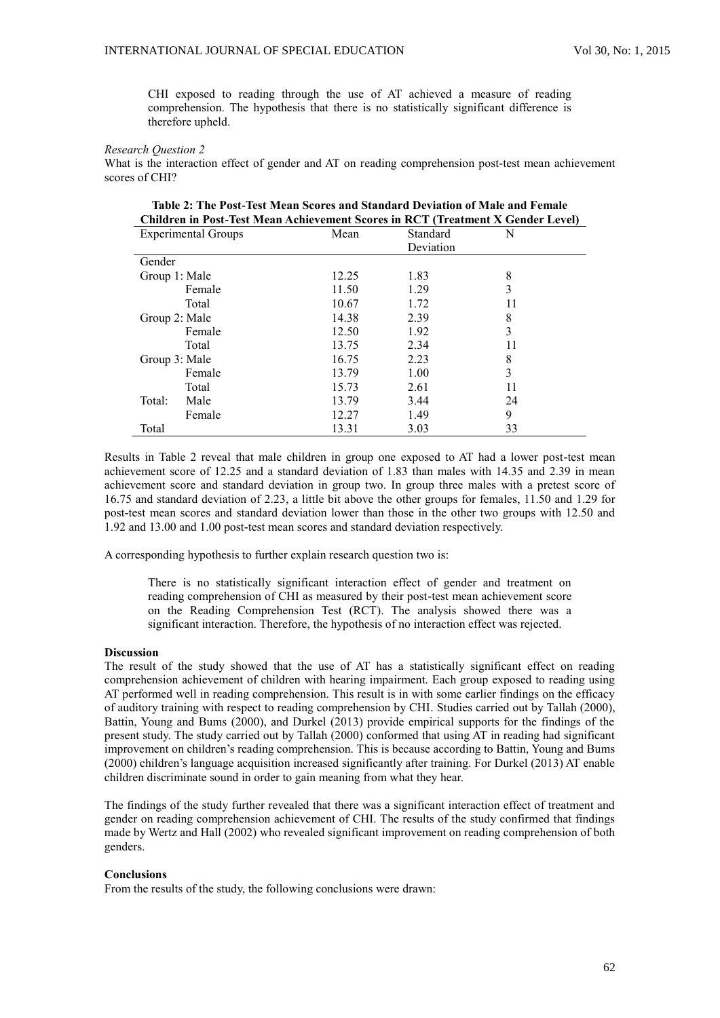CHI exposed to reading through the use of AT achieved a measure of reading comprehension. The hypothesis that there is no statistically significant difference is therefore upheld.

#### *Research Question 2*

What is the interaction effect of gender and AT on reading comprehension post-test mean achievement scores of CHI?

| <b>Children in Post-Test Mean Achievement Scores in RCT (Treatment X Gender Level)</b> |       |           |    |  |  |
|----------------------------------------------------------------------------------------|-------|-----------|----|--|--|
| <b>Experimental Groups</b>                                                             | Mean  | Standard  | N  |  |  |
|                                                                                        |       | Deviation |    |  |  |
| Gender                                                                                 |       |           |    |  |  |
| Group 1: Male                                                                          | 12.25 | 1.83      | 8  |  |  |
| Female                                                                                 | 11.50 | 1.29      | 3  |  |  |
| Total                                                                                  | 10.67 | 1.72      | 11 |  |  |
| Group 2: Male                                                                          | 14.38 | 2.39      | 8  |  |  |
| Female                                                                                 | 12.50 | 1.92      | 3  |  |  |
| Total                                                                                  | 13.75 | 2.34      | 11 |  |  |
| Group 3: Male                                                                          | 16.75 | 2.23      | 8  |  |  |
| Female                                                                                 | 13.79 | 1.00      | 3  |  |  |
| Total                                                                                  | 15.73 | 2.61      | 11 |  |  |
| Total:<br>Male                                                                         | 13.79 | 3.44      | 24 |  |  |
| Female                                                                                 | 12.27 | 1.49      | 9  |  |  |
| Total                                                                                  | 13.31 | 3.03      | 33 |  |  |

| Table 2: The Post-Test Mean Scores and Standard Deviation of Male and Female    |  |
|---------------------------------------------------------------------------------|--|
| Children in Post-Test Mean Achievement Scores in RCT (Treatment X Gender Level) |  |

Results in Table 2 reveal that male children in group one exposed to AT had a lower post-test mean achievement score of 12.25 and a standard deviation of 1.83 than males with 14.35 and 2.39 in mean achievement score and standard deviation in group two. In group three males with a pretest score of 16.75 and standard deviation of 2.23, a little bit above the other groups for females, 11.50 and 1.29 for post-test mean scores and standard deviation lower than those in the other two groups with 12.50 and 1.92 and 13.00 and 1.00 post-test mean scores and standard deviation respectively.

A corresponding hypothesis to further explain research question two is:

There is no statistically significant interaction effect of gender and treatment on reading comprehension of CHI as measured by their post-test mean achievement score on the Reading Comprehension Test (RCT). The analysis showed there was a significant interaction. Therefore, the hypothesis of no interaction effect was rejected.

#### **Discussion**

The result of the study showed that the use of AT has a statistically significant effect on reading comprehension achievement of children with hearing impairment. Each group exposed to reading using AT performed well in reading comprehension. This result is in with some earlier findings on the efficacy of auditory training with respect to reading comprehension by CHI. Studies carried out by Tallah (2000), Battin, Young and Bums (2000), and Durkel (2013) provide empirical supports for the findings of the present study. The study carried out by Tallah (2000) conformed that using AT in reading had significant improvement on children's reading comprehension. This is because according to Battin, Young and Bums (2000) children's language acquisition increased significantly after training. For Durkel (2013) AT enable children discriminate sound in order to gain meaning from what they hear.

The findings of the study further revealed that there was a significant interaction effect of treatment and gender on reading comprehension achievement of CHI. The results of the study confirmed that findings made by Wertz and Hall (2002) who revealed significant improvement on reading comprehension of both genders.

#### **Conclusions**

From the results of the study, the following conclusions were drawn: